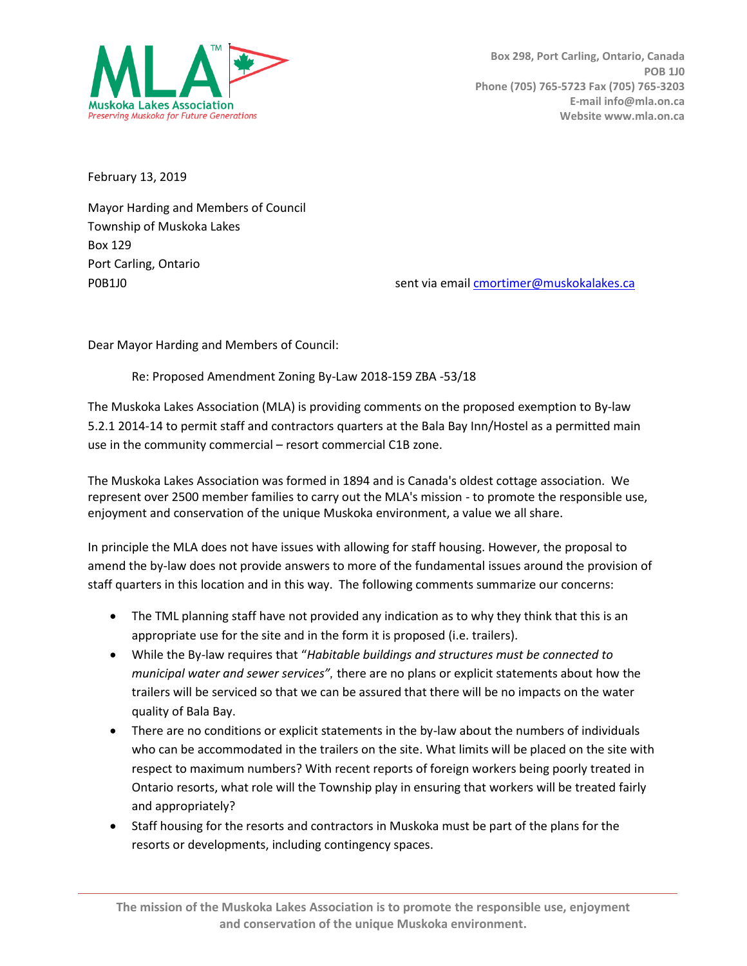

February 13, 2019

Mayor Harding and Members of Council Township of Muskoka Lakes Box 129 Port Carling, Ontario

P0B1J0 sent via email [cmortimer@muskokalakes.ca](mailto:cmortimer@muskokalakes.ca)

Dear Mayor Harding and Members of Council:

Re: Proposed Amendment Zoning By-Law 2018-159 ZBA -53/18

The Muskoka Lakes Association (MLA) is providing comments on the proposed exemption to By-law 5.2.1 2014-14 to permit staff and contractors quarters at the Bala Bay Inn/Hostel as a permitted main use in the community commercial – resort commercial C1B zone.

The Muskoka Lakes Association was formed in 1894 and is Canada's oldest cottage association. We represent over 2500 member families to carry out the MLA's mission - to promote the responsible use, enjoyment and conservation of the unique Muskoka environment, a value we all share.

In principle the MLA does not have issues with allowing for staff housing. However, the proposal to amend the by-law does not provide answers to more of the fundamental issues around the provision of staff quarters in this location and in this way. The following comments summarize our concerns:

- The TML planning staff have not provided any indication as to why they think that this is an appropriate use for the site and in the form it is proposed (i.e. trailers).
- While the By-law requires that "*Habitable buildings and structures must be connected to municipal water and sewer services",* there are no plans or explicit statements about how the trailers will be serviced so that we can be assured that there will be no impacts on the water quality of Bala Bay.
- There are no conditions or explicit statements in the by-law about the numbers of individuals who can be accommodated in the trailers on the site. What limits will be placed on the site with respect to maximum numbers? With recent reports of foreign workers being poorly treated in Ontario resorts, what role will the Township play in ensuring that workers will be treated fairly and appropriately?
- Staff housing for the resorts and contractors in Muskoka must be part of the plans for the resorts or developments, including contingency spaces.